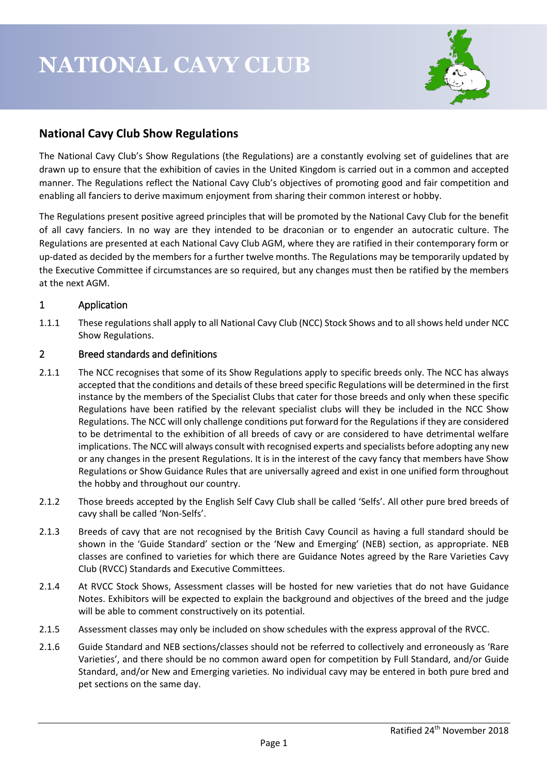

# **National Cavy Club Show Regulations**

The National Cavy Club's Show Regulations (the Regulations) are a constantly evolving set of guidelines that are drawn up to ensure that the exhibition of cavies in the United Kingdom is carried out in a common and accepted manner. The Regulations reflect the National Cavy Club's objectives of promoting good and fair competition and enabling all fanciers to derive maximum enjoyment from sharing their common interest or hobby.

The Regulations present positive agreed principles that will be promoted by the National Cavy Club for the benefit of all cavy fanciers. In no way are they intended to be draconian or to engender an autocratic culture. The Regulations are presented at each National Cavy Club AGM, where they are ratified in their contemporary form or up-dated as decided by the members for a further twelve months. The Regulations may be temporarily updated by the Executive Committee if circumstances are so required, but any changes must then be ratified by the members at the next AGM.

# 1 Application

1.1.1 These regulations shall apply to all National Cavy Club (NCC) Stock Shows and to all shows held under NCC Show Regulations.

# 2 Breed standards and definitions

- 2.1.1 The NCC recognises that some of its Show Regulations apply to specific breeds only. The NCC has always accepted that the conditions and details of these breed specific Regulations will be determined in the first instance by the members of the Specialist Clubs that cater for those breeds and only when these specific Regulations have been ratified by the relevant specialist clubs will they be included in the NCC Show Regulations. The NCC will only challenge conditions put forward for the Regulations if they are considered to be detrimental to the exhibition of all breeds of cavy or are considered to have detrimental welfare implications. The NCC will always consult with recognised experts and specialists before adopting any new or any changes in the present Regulations. It is in the interest of the cavy fancy that members have Show Regulations or Show Guidance Rules that are universally agreed and exist in one unified form throughout the hobby and throughout our country.
- 2.1.2 Those breeds accepted by the English Self Cavy Club shall be called 'Selfs'. All other pure bred breeds of cavy shall be called 'Non-Selfs'.
- 2.1.3 Breeds of cavy that are not recognised by the British Cavy Council as having a full standard should be shown in the 'Guide Standard' section or the 'New and Emerging' (NEB) section, as appropriate. NEB classes are confined to varieties for which there are Guidance Notes agreed by the Rare Varieties Cavy Club (RVCC) Standards and Executive Committees.
- 2.1.4 At RVCC Stock Shows, Assessment classes will be hosted for new varieties that do not have Guidance Notes. Exhibitors will be expected to explain the background and objectives of the breed and the judge will be able to comment constructively on its potential.
- 2.1.5 Assessment classes may only be included on show schedules with the express approval of the RVCC.
- 2.1.6 Guide Standard and NEB sections/classes should not be referred to collectively and erroneously as 'Rare Varieties', and there should be no common award open for competition by Full Standard, and/or Guide Standard, and/or New and Emerging varieties. No individual cavy may be entered in both pure bred and pet sections on the same day.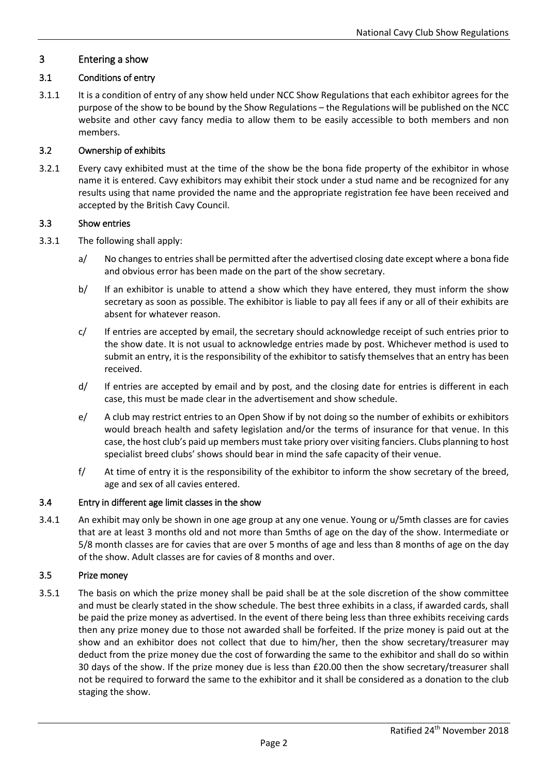### 3 Entering a show

### 3.1 Conditions of entry

3.1.1 It is a condition of entry of any show held under NCC Show Regulations that each exhibitor agrees for the purpose of the show to be bound by the Show Regulations – the Regulations will be published on the NCC website and other cavy fancy media to allow them to be easily accessible to both members and non members.

### 3.2 Ownership of exhibits

3.2.1 Every cavy exhibited must at the time of the show be the bona fide property of the exhibitor in whose name it is entered. Cavy exhibitors may exhibit their stock under a stud name and be recognized for any results using that name provided the name and the appropriate registration fee have been received and accepted by the British Cavy Council.

#### 3.3 Show entries

- 3.3.1 The following shall apply:
	- a/ No changes to entries shall be permitted after the advertised closing date except where a bona fide and obvious error has been made on the part of the show secretary.
	- b/ If an exhibitor is unable to attend a show which they have entered, they must inform the show secretary as soon as possible. The exhibitor is liable to pay all fees if any or all of their exhibits are absent for whatever reason.
	- c/ If entries are accepted by email, the secretary should acknowledge receipt of such entries prior to the show date. It is not usual to acknowledge entries made by post. Whichever method is used to submit an entry, it is the responsibility of the exhibitor to satisfy themselves that an entry has been received.
	- d/ If entries are accepted by email and by post, and the closing date for entries is different in each case, this must be made clear in the advertisement and show schedule.
	- e/ A club may restrict entries to an Open Show if by not doing so the number of exhibits or exhibitors would breach health and safety legislation and/or the terms of insurance for that venue. In this case, the host club's paid up members must take priory over visiting fanciers. Clubs planning to host specialist breed clubs' shows should bear in mind the safe capacity of their venue.
	- f/ At time of entry it is the responsibility of the exhibitor to inform the show secretary of the breed, age and sex of all cavies entered.

#### 3.4 Entry in different age limit classes in the show

3.4.1 An exhibit may only be shown in one age group at any one venue. Young or u/5mth classes are for cavies that are at least 3 months old and not more than 5mths of age on the day of the show. Intermediate or 5/8 month classes are for cavies that are over 5 months of age and less than 8 months of age on the day of the show. Adult classes are for cavies of 8 months and over.

### 3.5 Prize money

3.5.1 The basis on which the prize money shall be paid shall be at the sole discretion of the show committee and must be clearly stated in the show schedule. The best three exhibits in a class, if awarded cards, shall be paid the prize money as advertised. In the event of there being less than three exhibits receiving cards then any prize money due to those not awarded shall be forfeited. If the prize money is paid out at the show and an exhibitor does not collect that due to him/her, then the show secretary/treasurer may deduct from the prize money due the cost of forwarding the same to the exhibitor and shall do so within 30 days of the show. If the prize money due is less than £20.00 then the show secretary/treasurer shall not be required to forward the same to the exhibitor and it shall be considered as a donation to the club staging the show.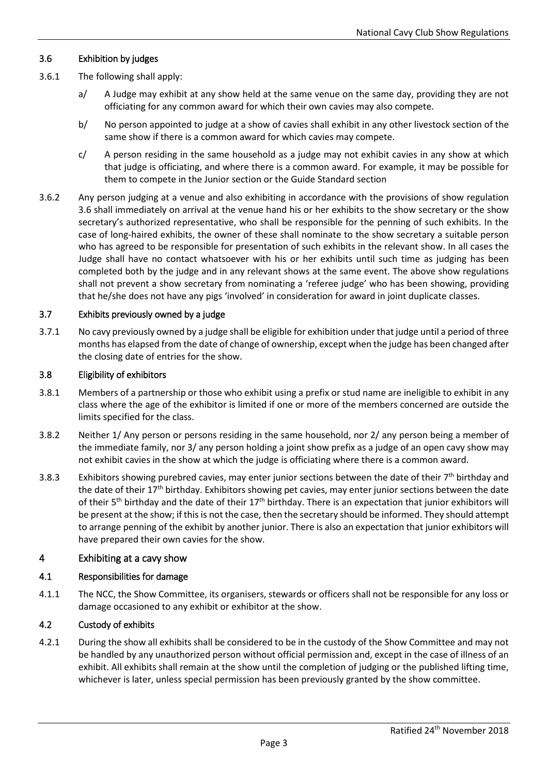### 3.6 Exhibition by judges

- 3.6.1 The following shall apply:
	- a/ A Judge may exhibit at any show held at the same venue on the same day, providing they are not officiating for any common award for which their own cavies may also compete.
	- b/ No person appointed to judge at a show of cavies shall exhibit in any other livestock section of the same show if there is a common award for which cavies may compete.
	- $c/$  A person residing in the same household as a judge may not exhibit cavies in any show at which that judge is officiating, and where there is a common award. For example, it may be possible for them to compete in the Junior section or the Guide Standard section
- 3.6.2 Any person judging at a venue and also exhibiting in accordance with the provisions of show regulation 3.6 shall immediately on arrival at the venue hand his or her exhibits to the show secretary or the show secretary's authorized representative, who shall be responsible for the penning of such exhibits. In the case of long-haired exhibits, the owner of these shall nominate to the show secretary a suitable person who has agreed to be responsible for presentation of such exhibits in the relevant show. In all cases the Judge shall have no contact whatsoever with his or her exhibits until such time as judging has been completed both by the judge and in any relevant shows at the same event. The above show regulations shall not prevent a show secretary from nominating a 'referee judge' who has been showing, providing that he/she does not have any pigs 'involved' in consideration for award in joint duplicate classes.

#### 3.7 Exhibits previously owned by a judge

3.7.1 No cavy previously owned by a judge shall be eligible for exhibition under that judge until a period of three months has elapsed from the date of change of ownership, except when the judge has been changed after the closing date of entries for the show.

#### 3.8 Eligibility of exhibitors

- 3.8.1 Members of a partnership or those who exhibit using a prefix or stud name are ineligible to exhibit in any class where the age of the exhibitor is limited if one or more of the members concerned are outside the limits specified for the class.
- 3.8.2 Neither 1/ Any person or persons residing in the same household, nor 2/ any person being a member of the immediate family, nor 3/ any person holding a joint show prefix as a judge of an open cavy show may not exhibit cavies in the show at which the judge is officiating where there is a common award.
- 3.8.3 Exhibitors showing purebred cavies, may enter junior sections between the date of their  $7<sup>th</sup>$  birthday and the date of their  $17<sup>th</sup>$  birthday. Exhibitors showing pet cavies, may enter junior sections between the date of their 5<sup>th</sup> birthday and the date of their  $17<sup>th</sup>$  birthday. There is an expectation that junior exhibitors will be present at the show; if this is not the case, then the secretary should be informed. They should attempt to arrange penning of the exhibit by another junior. There is also an expectation that junior exhibitors will have prepared their own cavies for the show.

#### 4 Exhibiting at a cavy show

#### 4.1 Responsibilities for damage

4.1.1 The NCC, the Show Committee, its organisers, stewards or officers shall not be responsible for any loss or damage occasioned to any exhibit or exhibitor at the show.

#### 4.2 Custody of exhibits

4.2.1 During the show all exhibits shall be considered to be in the custody of the Show Committee and may not be handled by any unauthorized person without official permission and, except in the case of illness of an exhibit. All exhibits shall remain at the show until the completion of judging or the published lifting time, whichever is later, unless special permission has been previously granted by the show committee.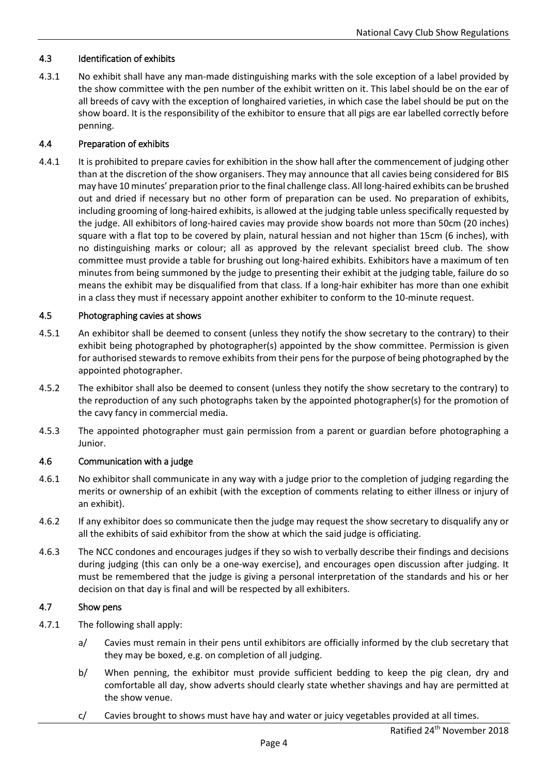### 4.3 Identification of exhibits

4.3.1 No exhibit shall have any man-made distinguishing marks with the sole exception of a label provided by the show committee with the pen number of the exhibit written on it. This label should be on the ear of all breeds of cavy with the exception of longhaired varieties, in which case the label should be put on the show board. It is the responsibility of the exhibitor to ensure that all pigs are ear labelled correctly before penning.

#### 4.4 Preparation of exhibits

4.4.1 It is prohibited to prepare cavies for exhibition in the show hall after the commencement of judging other than at the discretion of the show organisers. They may announce that all cavies being considered for BIS may have 10 minutes' preparation prior to the final challenge class. All long-haired exhibits can be brushed out and dried if necessary but no other form of preparation can be used. No preparation of exhibits, including grooming of long-haired exhibits, is allowed at the judging table unless specifically requested by the judge. All exhibitors of long-haired cavies may provide show boards not more than 50cm (20 inches) square with a flat top to be covered by plain, natural hessian and not higher than 15cm (6 inches), with no distinguishing marks or colour; all as approved by the relevant specialist breed club. The show committee must provide a table for brushing out long-haired exhibits. Exhibitors have a maximum of ten minutes from being summoned by the judge to presenting their exhibit at the judging table, failure do so means the exhibit may be disqualified from that class. If a long-hair exhibiter has more than one exhibit in a class they must if necessary appoint another exhibiter to conform to the 10-minute request.

#### 4.5 Photographing cavies at shows

- 4.5.1 An exhibitor shall be deemed to consent (unless they notify the show secretary to the contrary) to their exhibit being photographed by photographer(s) appointed by the show committee. Permission is given for authorised stewards to remove exhibits from their pens for the purpose of being photographed by the appointed photographer.
- 4.5.2 The exhibitor shall also be deemed to consent (unless they notify the show secretary to the contrary) to the reproduction of any such photographs taken by the appointed photographer(s) for the promotion of the cavy fancy in commercial media.
- 4.5.3 The appointed photographer must gain permission from a parent or guardian before photographing a Junior.

#### 4.6 Communication with a judge

- 4.6.1 No exhibitor shall communicate in any way with a judge prior to the completion of judging regarding the merits or ownership of an exhibit (with the exception of comments relating to either illness or injury of an exhibit).
- 4.6.2 If any exhibitor does so communicate then the judge may request the show secretary to disqualify any or all the exhibits of said exhibitor from the show at which the said judge is officiating.
- 4.6.3 The NCC condones and encourages judges if they so wish to verbally describe their findings and decisions during judging (this can only be a one-way exercise), and encourages open discussion after judging. It must be remembered that the judge is giving a personal interpretation of the standards and his or her decision on that day is final and will be respected by all exhibiters.

#### 4.7 Show pens

- 4.7.1 The following shall apply:
	- a/ Cavies must remain in their pens until exhibitors are officially informed by the club secretary that they may be boxed, e.g. on completion of all judging.
	- b/ When penning, the exhibitor must provide sufficient bedding to keep the pig clean, dry and comfortable all day, show adverts should clearly state whether shavings and hay are permitted at the show venue.
	- c/ Cavies brought to shows must have hay and water or juicy vegetables provided at all times.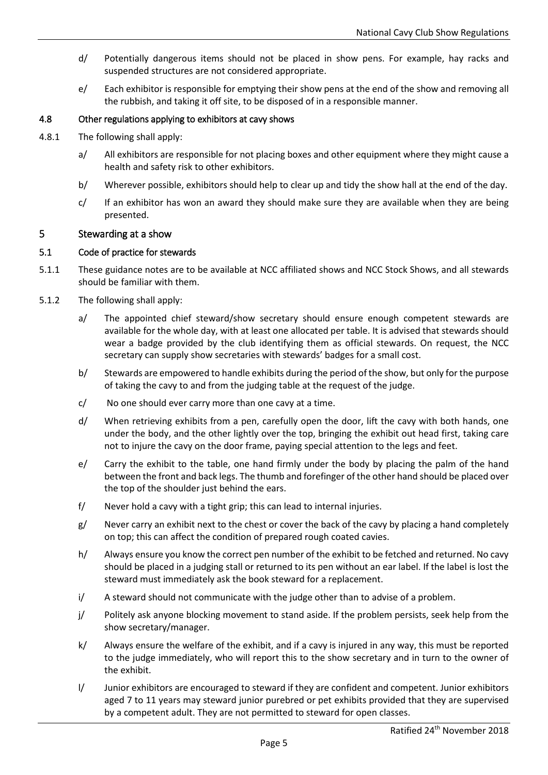- d/ Potentially dangerous items should not be placed in show pens. For example, hay racks and suspended structures are not considered appropriate.
- e/ Each exhibitor is responsible for emptying their show pens at the end of the show and removing all the rubbish, and taking it off site, to be disposed of in a responsible manner.

### 4.8 Other regulations applying to exhibitors at cavy shows

- 4.8.1 The following shall apply:
	- a/ All exhibitors are responsible for not placing boxes and other equipment where they might cause a health and safety risk to other exhibitors.
	- b/ Wherever possible, exhibitors should help to clear up and tidy the show hall at the end of the day.
	- $c$  If an exhibitor has won an award they should make sure they are available when they are being presented.

#### 5 Stewarding at a show

#### 5.1 Code of practice for stewards

- 5.1.1 These guidance notes are to be available at NCC affiliated shows and NCC Stock Shows, and all stewards should be familiar with them.
- 5.1.2 The following shall apply:
	- a/ The appointed chief steward/show secretary should ensure enough competent stewards are available for the whole day, with at least one allocated per table. It is advised that stewards should wear a badge provided by the club identifying them as official stewards. On request, the NCC secretary can supply show secretaries with stewards' badges for a small cost.
	- b/ Stewards are empowered to handle exhibits during the period of the show, but only for the purpose of taking the cavy to and from the judging table at the request of the judge.
	- c/ No one should ever carry more than one cavy at a time.
	- d/ When retrieving exhibits from a pen, carefully open the door, lift the cavy with both hands, one under the body, and the other lightly over the top, bringing the exhibit out head first, taking care not to injure the cavy on the door frame, paying special attention to the legs and feet.
	- e/ Carry the exhibit to the table, one hand firmly under the body by placing the palm of the hand between the front and back legs. The thumb and forefinger of the other hand should be placed over the top of the shoulder just behind the ears.
	- f/ Never hold a cavy with a tight grip; this can lead to internal injuries.
	- g/ Never carry an exhibit next to the chest or cover the back of the cavy by placing a hand completely on top; this can affect the condition of prepared rough coated cavies.
	- h/ Always ensure you know the correct pen number of the exhibit to be fetched and returned. No cavy should be placed in a judging stall or returned to its pen without an ear label. If the label is lost the steward must immediately ask the book steward for a replacement.
	- i/ A steward should not communicate with the judge other than to advise of a problem.
	- $j$  Politely ask anyone blocking movement to stand aside. If the problem persists, seek help from the show secretary/manager.
	- k/ Always ensure the welfare of the exhibit, and if a cavy is injured in any way, this must be reported to the judge immediately, who will report this to the show secretary and in turn to the owner of the exhibit.
	- l/ Junior exhibitors are encouraged to steward if they are confident and competent. Junior exhibitors aged 7 to 11 years may steward junior purebred or pet exhibits provided that they are supervised by a competent adult. They are not permitted to steward for open classes.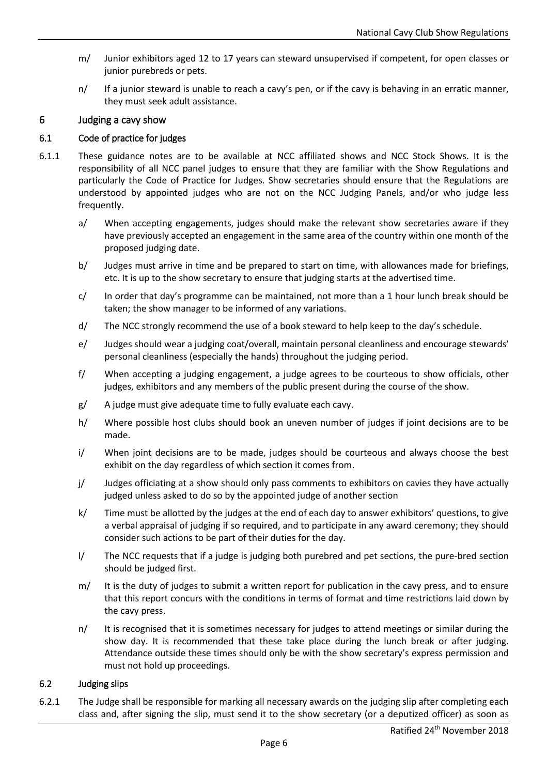- m/ Junior exhibitors aged 12 to 17 years can steward unsupervised if competent, for open classes or junior purebreds or pets.
- n/ If a junior steward is unable to reach a cavy's pen, or if the cavy is behaving in an erratic manner, they must seek adult assistance.

## 6 Judging a cavy show

### 6.1 Code of practice for judges

- 6.1.1 These guidance notes are to be available at NCC affiliated shows and NCC Stock Shows. It is the responsibility of all NCC panel judges to ensure that they are familiar with the Show Regulations and particularly the Code of Practice for Judges. Show secretaries should ensure that the Regulations are understood by appointed judges who are not on the NCC Judging Panels, and/or who judge less frequently.
	- a/ When accepting engagements, judges should make the relevant show secretaries aware if they have previously accepted an engagement in the same area of the country within one month of the proposed judging date.
	- b/ Judges must arrive in time and be prepared to start on time, with allowances made for briefings, etc. It is up to the show secretary to ensure that judging starts at the advertised time.
	- c/ In order that day's programme can be maintained, not more than a 1 hour lunch break should be taken; the show manager to be informed of any variations.
	- d/ The NCC strongly recommend the use of a book steward to help keep to the day's schedule.
	- e/ Judges should wear a judging coat/overall, maintain personal cleanliness and encourage stewards' personal cleanliness (especially the hands) throughout the judging period.
	- f/ When accepting a judging engagement, a judge agrees to be courteous to show officials, other judges, exhibitors and any members of the public present during the course of the show.
	- g/ A judge must give adequate time to fully evaluate each cavy.
	- h/ Where possible host clubs should book an uneven number of judges if joint decisions are to be made.
	- i/ When joint decisions are to be made, judges should be courteous and always choose the best exhibit on the day regardless of which section it comes from.
	- j/ Judges officiating at a show should only pass comments to exhibitors on cavies they have actually judged unless asked to do so by the appointed judge of another section
	- k/ Time must be allotted by the judges at the end of each day to answer exhibitors' questions, to give a verbal appraisal of judging if so required, and to participate in any award ceremony; they should consider such actions to be part of their duties for the day.
	- l/ The NCC requests that if a judge is judging both purebred and pet sections, the pure-bred section should be judged first.
	- m/ It is the duty of judges to submit a written report for publication in the cavy press, and to ensure that this report concurs with the conditions in terms of format and time restrictions laid down by the cavy press.
	- n/ It is recognised that it is sometimes necessary for judges to attend meetings or similar during the show day. It is recommended that these take place during the lunch break or after judging. Attendance outside these times should only be with the show secretary's express permission and must not hold up proceedings.

### 6.2 Judging slips

6.2.1 The Judge shall be responsible for marking all necessary awards on the judging slip after completing each class and, after signing the slip, must send it to the show secretary (or a deputized officer) as soon as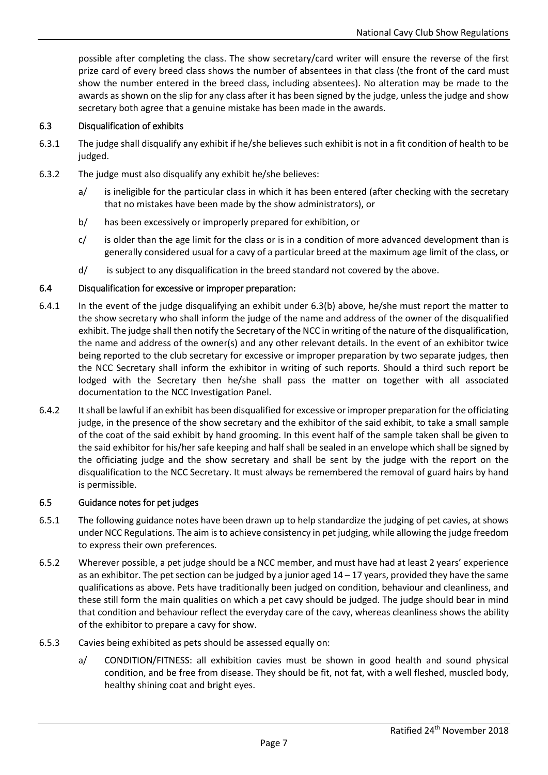possible after completing the class. The show secretary/card writer will ensure the reverse of the first prize card of every breed class shows the number of absentees in that class (the front of the card must show the number entered in the breed class, including absentees). No alteration may be made to the awards as shown on the slip for any class after it has been signed by the judge, unless the judge and show secretary both agree that a genuine mistake has been made in the awards.

### 6.3 Disqualification of exhibits

- 6.3.1 The judge shall disqualify any exhibit if he/she believes such exhibit is not in a fit condition of health to be judged.
- 6.3.2 The judge must also disqualify any exhibit he/she believes:
	- a/ is ineligible for the particular class in which it has been entered (after checking with the secretary that no mistakes have been made by the show administrators), or
	- b/ has been excessively or improperly prepared for exhibition, or
	- $c$  is older than the age limit for the class or is in a condition of more advanced development than is generally considered usual for a cavy of a particular breed at the maximum age limit of the class, or
	- d/ is subject to any disqualification in the breed standard not covered by the above.

#### 6.4 Disqualification for excessive or improper preparation:

- 6.4.1 In the event of the judge disqualifying an exhibit under 6.3(b) above, he/she must report the matter to the show secretary who shall inform the judge of the name and address of the owner of the disqualified exhibit. The judge shall then notify the Secretary of the NCC in writing of the nature of the disqualification, the name and address of the owner(s) and any other relevant details. In the event of an exhibitor twice being reported to the club secretary for excessive or improper preparation by two separate judges, then the NCC Secretary shall inform the exhibitor in writing of such reports. Should a third such report be lodged with the Secretary then he/she shall pass the matter on together with all associated documentation to the NCC Investigation Panel.
- 6.4.2 It shall be lawful if an exhibit has been disqualified for excessive or improper preparation for the officiating judge, in the presence of the show secretary and the exhibitor of the said exhibit, to take a small sample of the coat of the said exhibit by hand grooming. In this event half of the sample taken shall be given to the said exhibitor for his/her safe keeping and half shall be sealed in an envelope which shall be signed by the officiating judge and the show secretary and shall be sent by the judge with the report on the disqualification to the NCC Secretary. It must always be remembered the removal of guard hairs by hand is permissible.

#### 6.5 Guidance notes for pet judges

- 6.5.1 The following guidance notes have been drawn up to help standardize the judging of pet cavies, at shows under NCC Regulations. The aim is to achieve consistency in pet judging, while allowing the judge freedom to express their own preferences.
- 6.5.2 Wherever possible, a pet judge should be a NCC member, and must have had at least 2 years' experience as an exhibitor. The pet section can be judged by a junior aged  $14 - 17$  years, provided they have the same qualifications as above. Pets have traditionally been judged on condition, behaviour and cleanliness, and these still form the main qualities on which a pet cavy should be judged. The judge should bear in mind that condition and behaviour reflect the everyday care of the cavy, whereas cleanliness shows the ability of the exhibitor to prepare a cavy for show.
- 6.5.3 Cavies being exhibited as pets should be assessed equally on:
	- a/ CONDITION/FITNESS: all exhibition cavies must be shown in good health and sound physical condition, and be free from disease. They should be fit, not fat, with a well fleshed, muscled body, healthy shining coat and bright eyes.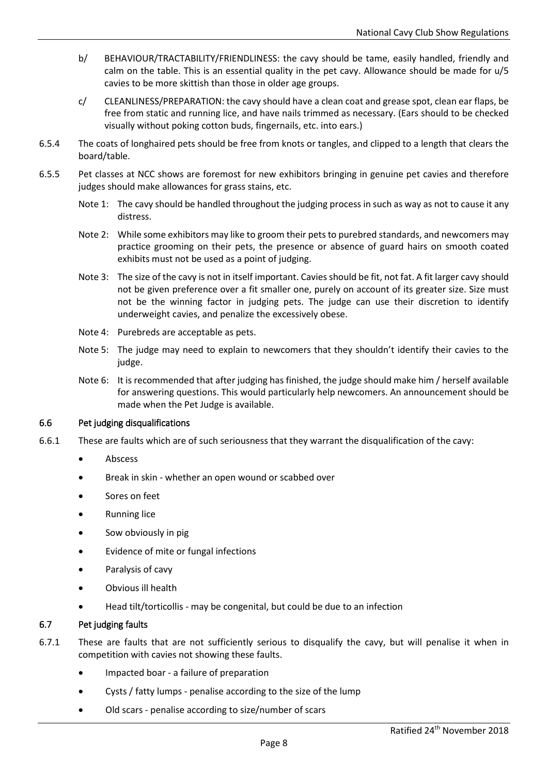- b/ BEHAVIOUR/TRACTABILITY/FRIENDLINESS: the cavy should be tame, easily handled, friendly and calm on the table. This is an essential quality in the pet cavy. Allowance should be made for u/5 cavies to be more skittish than those in older age groups.
- c/ CLEANLINESS/PREPARATION: the cavy should have a clean coat and grease spot, clean ear flaps, be free from static and running lice, and have nails trimmed as necessary. (Ears should to be checked visually without poking cotton buds, fingernails, etc. into ears.)
- 6.5.4 The coats of longhaired pets should be free from knots or tangles, and clipped to a length that clears the board/table.
- 6.5.5 Pet classes at NCC shows are foremost for new exhibitors bringing in genuine pet cavies and therefore judges should make allowances for grass stains, etc.
	- Note 1: The cavy should be handled throughout the judging process in such as way as not to cause it any distress.
	- Note 2: While some exhibitors may like to groom their pets to purebred standards, and newcomers may practice grooming on their pets, the presence or absence of guard hairs on smooth coated exhibits must not be used as a point of judging.
	- Note 3: The size of the cavy is not in itself important. Cavies should be fit, not fat. A fit larger cavy should not be given preference over a fit smaller one, purely on account of its greater size. Size must not be the winning factor in judging pets. The judge can use their discretion to identify underweight cavies, and penalize the excessively obese.
	- Note 4: Purebreds are acceptable as pets.
	- Note 5: The judge may need to explain to newcomers that they shouldn't identify their cavies to the judge.
	- Note 6: It is recommended that after judging has finished, the judge should make him / herself available for answering questions. This would particularly help newcomers. An announcement should be made when the Pet Judge is available.

### 6.6 Pet judging disqualifications

- 6.6.1 These are faults which are of such seriousness that they warrant the disqualification of the cavy:
	- Abscess
	- Break in skin whether an open wound or scabbed over
	- Sores on feet
	- Running lice
	- Sow obviously in pig
	- Evidence of mite or fungal infections
	- Paralysis of cavy
	- Obvious ill health
	- Head tilt/torticollis may be congenital, but could be due to an infection

#### 6.7 Pet judging faults

- 6.7.1 These are faults that are not sufficiently serious to disqualify the cavy, but will penalise it when in competition with cavies not showing these faults.
	- Impacted boar a failure of preparation
	- Cysts / fatty lumps penalise according to the size of the lump
	- Old scars penalise according to size/number of scars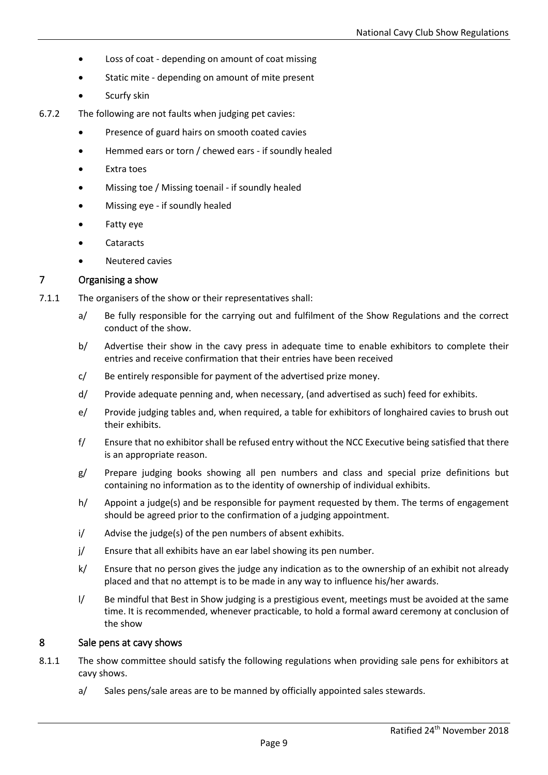- Loss of coat depending on amount of coat missing
- Static mite depending on amount of mite present
- Scurfy skin
- 6.7.2 The following are not faults when judging pet cavies:
	- Presence of guard hairs on smooth coated cavies
	- Hemmed ears or torn / chewed ears if soundly healed
	- Extra toes
	- Missing toe / Missing toenail if soundly healed
	- Missing eye if soundly healed
	- Fatty eye
	- **Cataracts**
	- Neutered cavies

### 7 Organising a show

- 7.1.1 The organisers of the show or their representatives shall:
	- a/ Be fully responsible for the carrying out and fulfilment of the Show Regulations and the correct conduct of the show.
	- b/ Advertise their show in the cavy press in adequate time to enable exhibitors to complete their entries and receive confirmation that their entries have been received
	- c/ Be entirely responsible for payment of the advertised prize money.
	- d/ Provide adequate penning and, when necessary, (and advertised as such) feed for exhibits.
	- e/ Provide judging tables and, when required, a table for exhibitors of longhaired cavies to brush out their exhibits.
	- f/ Ensure that no exhibitor shall be refused entry without the NCC Executive being satisfied that there is an appropriate reason.
	- g/ Prepare judging books showing all pen numbers and class and special prize definitions but containing no information as to the identity of ownership of individual exhibits.
	- h/ Appoint a judge(s) and be responsible for payment requested by them. The terms of engagement should be agreed prior to the confirmation of a judging appointment.
	- i/ Advise the judge(s) of the pen numbers of absent exhibits.
	- j/ Ensure that all exhibits have an ear label showing its pen number.
	- k/ Ensure that no person gives the judge any indication as to the ownership of an exhibit not already placed and that no attempt is to be made in any way to influence his/her awards.
	- l/ Be mindful that Best in Show judging is a prestigious event, meetings must be avoided at the same time. It is recommended, whenever practicable, to hold a formal award ceremony at conclusion of the show

### 8 Sale pens at cavy shows

- 8.1.1 The show committee should satisfy the following regulations when providing sale pens for exhibitors at cavy shows.
	- a/ Sales pens/sale areas are to be manned by officially appointed sales stewards.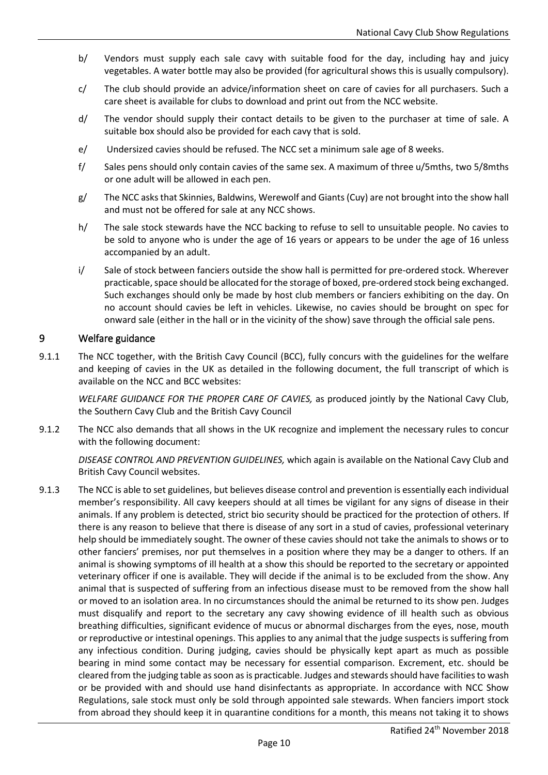- b/ Vendors must supply each sale cavy with suitable food for the day, including hay and juicy vegetables. A water bottle may also be provided (for agricultural shows this is usually compulsory).
- c/ The club should provide an advice/information sheet on care of cavies for all purchasers. Such a care sheet is available for clubs to download and print out from the NCC website.
- d/ The vendor should supply their contact details to be given to the purchaser at time of sale. A suitable box should also be provided for each cavy that is sold.
- e/ Undersized cavies should be refused. The NCC set a minimum sale age of 8 weeks.
- f/ Sales pens should only contain cavies of the same sex. A maximum of three u/5mths, two 5/8mths or one adult will be allowed in each pen.
- g/ The NCC asks that Skinnies, Baldwins, Werewolf and Giants (Cuy) are not brought into the show hall and must not be offered for sale at any NCC shows.
- h/ The sale stock stewards have the NCC backing to refuse to sell to unsuitable people. No cavies to be sold to anyone who is under the age of 16 years or appears to be under the age of 16 unless accompanied by an adult.
- i/ Sale of stock between fanciers outside the show hall is permitted for pre-ordered stock. Wherever practicable, space should be allocated for the storage of boxed, pre-ordered stock being exchanged. Such exchanges should only be made by host club members or fanciers exhibiting on the day. On no account should cavies be left in vehicles. Likewise, no cavies should be brought on spec for onward sale (either in the hall or in the vicinity of the show) save through the official sale pens.

### 9 Welfare guidance

9.1.1 The NCC together, with the British Cavy Council (BCC), fully concurs with the guidelines for the welfare and keeping of cavies in the UK as detailed in the following document, the full transcript of which is available on the NCC and BCC websites:

*WELFARE GUIDANCE FOR THE PROPER CARE OF CAVIES,* as produced jointly by the National Cavy Club, the Southern Cavy Club and the British Cavy Council

9.1.2 The NCC also demands that all shows in the UK recognize and implement the necessary rules to concur with the following document:

*DISEASE CONTROL AND PREVENTION GUIDELINES,* which again is available on the National Cavy Club and British Cavy Council websites.

9.1.3 The NCC is able to set guidelines, but believes disease control and prevention is essentially each individual member's responsibility. All cavy keepers should at all times be vigilant for any signs of disease in their animals. If any problem is detected, strict bio security should be practiced for the protection of others. If there is any reason to believe that there is disease of any sort in a stud of cavies, professional veterinary help should be immediately sought. The owner of these cavies should not take the animals to shows or to other fanciers' premises, nor put themselves in a position where they may be a danger to others. If an animal is showing symptoms of ill health at a show this should be reported to the secretary or appointed veterinary officer if one is available. They will decide if the animal is to be excluded from the show. Any animal that is suspected of suffering from an infectious disease must to be removed from the show hall or moved to an isolation area. In no circumstances should the animal be returned to its show pen. Judges must disqualify and report to the secretary any cavy showing evidence of ill health such as obvious breathing difficulties, significant evidence of mucus or abnormal discharges from the eyes, nose, mouth or reproductive or intestinal openings. This applies to any animal that the judge suspects is suffering from any infectious condition. During judging, cavies should be physically kept apart as much as possible bearing in mind some contact may be necessary for essential comparison. Excrement, etc. should be cleared from the judging table as soon as is practicable. Judges and stewards should have facilities to wash or be provided with and should use hand disinfectants as appropriate. In accordance with NCC Show Regulations, sale stock must only be sold through appointed sale stewards. When fanciers import stock from abroad they should keep it in quarantine conditions for a month, this means not taking it to shows